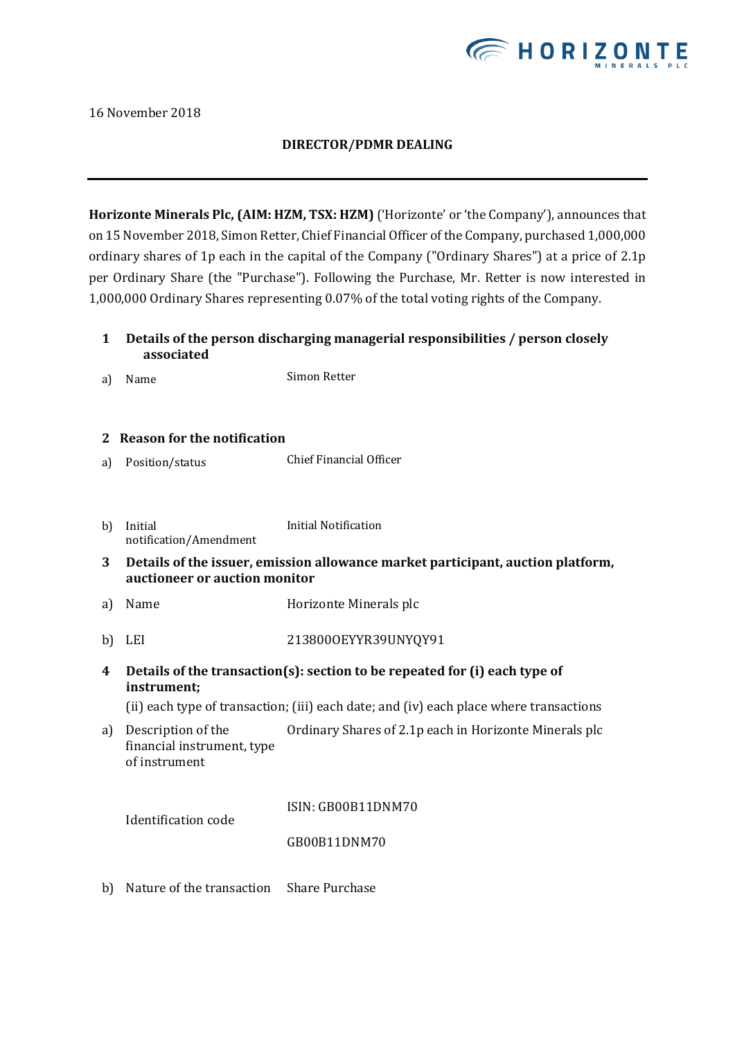

16 November 2018

## **DIRECTOR/PDMR DEALING**

**Horizonte Minerals Plc, (AIM: HZM, TSX: HZM)** ('Horizonte' or 'the Company'), announces that on 15November 2018, Simon Retter, Chief Financial Officer of the Company, purchased 1,000,000 ordinary shares of 1p each in the capital of the Company ("Ordinary Shares") at a price of 2.1p per Ordinary Share (the "Purchase"). Following the Purchase, Mr. Retter is now interested in 1,000,000 Ordinary Shares representing 0.07% of the total voting rights of the Company.

- **1 Details of the person discharging managerial responsibilities / person closely associated**
- a) Name Simon Retter
- **2 Reason for the notification**
- a) Position/status Chief Financial Officer
- b) Initial notification/Amendment Initial Notification
- **3 Details of the issuer, emission allowance market participant, auction platform, auctioneer or auction monitor**
- a) Name Horizonte Minerals plc
- b) LEI 2138000EYYR39UNYQY91
- **4 Details of the transaction(s): section to be repeated for (i) each type of instrument;**

(ii) each type of transaction; (iii) each date; and (iv) each place where transactions

a) Description of the financial instrument, type of instrument Ordinary Shares of 2.1p each in Horizonte Minerals plc

ISIN: GB00B11DNM70

Identification code

## GB00B11DNM70

b) Nature of the transaction Share Purchase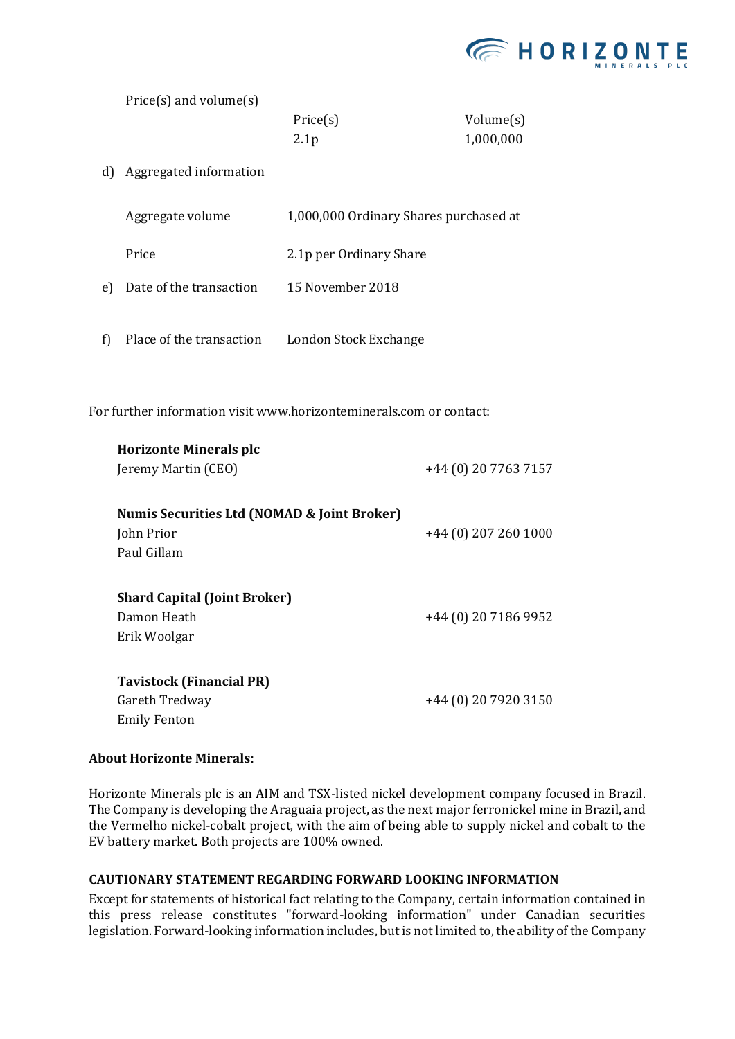

Price(s) and volume(s)

| Price(s)         | Volume(s) |
|------------------|-----------|
| 2.1 <sub>p</sub> | 1,000,000 |

d) Aggregated information

|    | Aggregate volume         | 1,000,000 Ordinary Shares purchased at |
|----|--------------------------|----------------------------------------|
|    | Price                    | 2.1p per Ordinary Share                |
| e) | Date of the transaction  | 15 November 2018                       |
| f) | Place of the transaction | London Stock Exchange                  |

For further information visit www.horizonteminerals.com or contact:

| <b>Horizonte Minerals plc</b>                                                       |                       |  |  |
|-------------------------------------------------------------------------------------|-----------------------|--|--|
| Jeremy Martin (CEO)                                                                 | +44 (0) 20 7763 7157  |  |  |
| <b>Numis Securities Ltd (NOMAD &amp; Joint Broker)</b><br>John Prior<br>Paul Gillam | $+44(0)$ 207 260 1000 |  |  |
| <b>Shard Capital (Joint Broker)</b><br>Damon Heath<br>Erik Woolgar                  | +44 (0) 20 7186 9952  |  |  |
| <b>Tavistock (Financial PR)</b><br>Gareth Tredway<br>Emily Fenton                   | +44 (0) 20 7920 3150  |  |  |

## **About Horizonte Minerals:**

Horizonte Minerals plc is an AIM and TSX-listed nickel development company focused in Brazil. The Company is developing the Araguaia project, as the next major ferronickel mine in Brazil, and the Vermelho nickel-cobalt project, with the aim of being able to supply nickel and cobalt to the EV battery market. Both projects are 100% owned.

## **CAUTIONARY STATEMENT REGARDING FORWARD LOOKING INFORMATION**

Except for statements of historical fact relating to the Company, certain information contained in this press release constitutes "forward-looking information" under Canadian securities legislation. Forward-looking information includes, but is not limited to, the ability of the Company